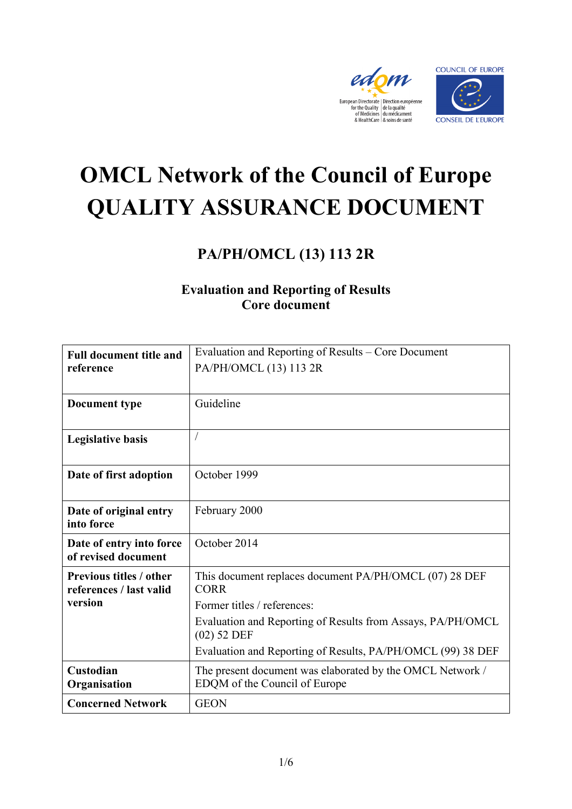



# **OMCL Network of the Council of Europe QUALITY ASSURANCE DOCUMENT**

## **PA/PH/OMCL (13) 113 2R**

### **Evaluation and Reporting of Results Core document**

| <b>Full document title and</b><br>reference                          | Evaluation and Reporting of Results – Core Document<br>PA/PH/OMCL (13) 113 2R                                                                                       |
|----------------------------------------------------------------------|---------------------------------------------------------------------------------------------------------------------------------------------------------------------|
| <b>Document type</b>                                                 | Guideline                                                                                                                                                           |
| <b>Legislative basis</b>                                             |                                                                                                                                                                     |
| Date of first adoption                                               | October 1999                                                                                                                                                        |
| Date of original entry<br>into force                                 | February 2000                                                                                                                                                       |
| Date of entry into force<br>of revised document                      | October 2014                                                                                                                                                        |
| <b>Previous titles / other</b><br>references / last valid<br>version | This document replaces document PA/PH/OMCL (07) 28 DEF<br><b>CORR</b><br>Former titles / references:<br>Evaluation and Reporting of Results from Assays, PA/PH/OMCL |
|                                                                      | $(02)$ 52 DEF<br>Evaluation and Reporting of Results, PA/PH/OMCL (99) 38 DEF                                                                                        |
| Custodian<br>Organisation                                            | The present document was elaborated by the OMCL Network /<br>EDQM of the Council of Europe                                                                          |
| <b>Concerned Network</b>                                             | <b>GEON</b>                                                                                                                                                         |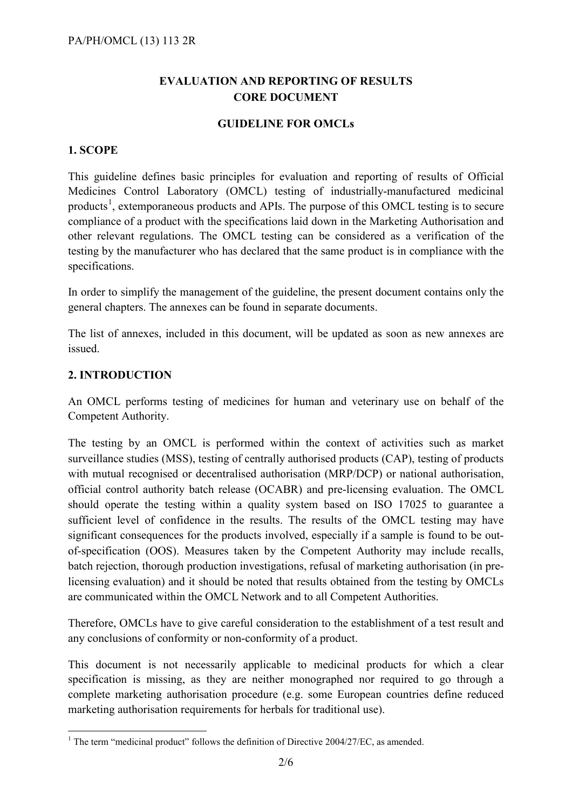#### **EVALUATION AND REPORTING OF RESULTS CORE DOCUMENT**

#### **GUIDELINE FOR OMCLs**

#### **1. SCOPE**

This guideline defines basic principles for evaluation and reporting of results of Official Medicines Control Laboratory (OMCL) testing of industrially-manufactured medicinal products<sup>[1](#page-1-0)</sup>, extemporaneous products and APIs. The purpose of this OMCL testing is to secure compliance of a product with the specifications laid down in the Marketing Authorisation and other relevant regulations. The OMCL testing can be considered as a verification of the testing by the manufacturer who has declared that the same product is in compliance with the specifications.

In order to simplify the management of the guideline, the present document contains only the general chapters. The annexes can be found in separate documents.

The list of annexes, included in this document, will be updated as soon as new annexes are issued.

#### **2. INTRODUCTION**

An OMCL performs testing of medicines for human and veterinary use on behalf of the Competent Authority.

The testing by an OMCL is performed within the context of activities such as market surveillance studies (MSS), testing of centrally authorised products (CAP), testing of products with mutual recognised or decentralised authorisation (MRP/DCP) or national authorisation, official control authority batch release (OCABR) and pre-licensing evaluation. The OMCL should operate the testing within a quality system based on ISO 17025 to guarantee a sufficient level of confidence in the results. The results of the OMCL testing may have significant consequences for the products involved, especially if a sample is found to be outof-specification (OOS). Measures taken by the Competent Authority may include recalls, batch rejection, thorough production investigations, refusal of marketing authorisation (in prelicensing evaluation) and it should be noted that results obtained from the testing by OMCLs are communicated within the OMCL Network and to all Competent Authorities.

Therefore, OMCLs have to give careful consideration to the establishment of a test result and any conclusions of conformity or non-conformity of a product.

This document is not necessarily applicable to medicinal products for which a clear specification is missing, as they are neither monographed nor required to go through a complete marketing authorisation procedure (e.g. some European countries define reduced marketing authorisation requirements for herbals for traditional use).

<span id="page-1-0"></span> $1$  The term "medicinal product" follows the definition of Directive 2004/27/EC, as amended.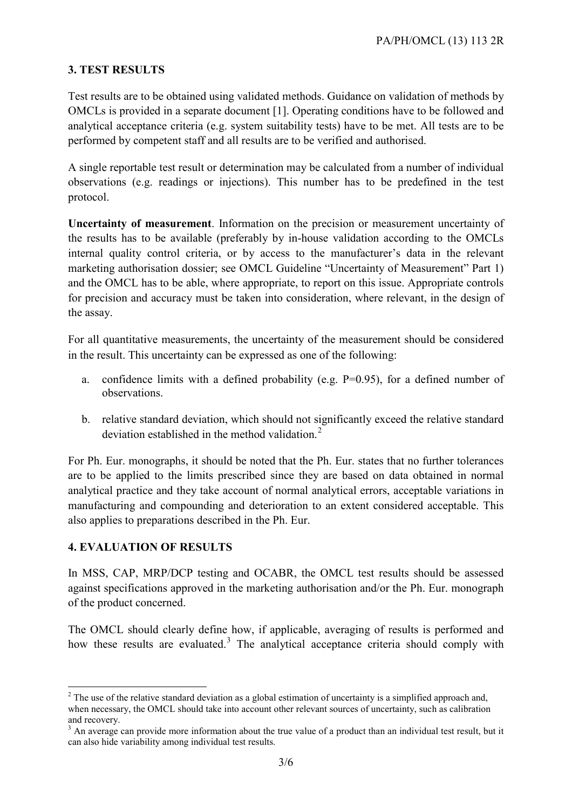#### **3. TEST RESULTS**

Test results are to be obtained using validated methods. Guidance on validation of methods by OMCLs is provided in a separate document [1]. Operating conditions have to be followed and analytical acceptance criteria (e.g. system suitability tests) have to be met. All tests are to be performed by competent staff and all results are to be verified and authorised.

A single reportable test result or determination may be calculated from a number of individual observations (e.g. readings or injections). This number has to be predefined in the test protocol.

**Uncertainty of measurement**. Information on the precision or measurement uncertainty of the results has to be available (preferably by in-house validation according to the OMCLs internal quality control criteria, or by access to the manufacturer's data in the relevant marketing authorisation dossier; see OMCL Guideline "Uncertainty of Measurement" Part 1) and the OMCL has to be able, where appropriate, to report on this issue. Appropriate controls for precision and accuracy must be taken into consideration, where relevant, in the design of the assay.

For all quantitative measurements, the uncertainty of the measurement should be considered in the result. This uncertainty can be expressed as one of the following:

- a. confidence limits with a defined probability (e.g. P=0.95), for a defined number of observations.
- b. relative standard deviation, which should not significantly exceed the relative standard deviation established in the method validation.<sup>[2](#page-2-0)</sup>

For Ph. Eur. monographs, it should be noted that the Ph. Eur. states that no further tolerances are to be applied to the limits prescribed since they are based on data obtained in normal analytical practice and they take account of normal analytical errors, acceptable variations in manufacturing and compounding and deterioration to an extent considered acceptable. This also applies to preparations described in the Ph. Eur.

#### **4. EVALUATION OF RESULTS**

In MSS, CAP, MRP/DCP testing and OCABR, the OMCL test results should be assessed against specifications approved in the marketing authorisation and/or the Ph. Eur. monograph of the product concerned.

The OMCL should clearly define how, if applicable, averaging of results is performed and how these results are evaluated.<sup>[3](#page-2-1)</sup> The analytical acceptance criteria should comply with

<span id="page-2-0"></span><sup>&</sup>lt;sup>2</sup> The use of the relative standard deviation as a global estimation of uncertainty is a simplified approach and, when necessary, the OMCL should take into account other relevant sources of uncertainty, such as calibration and recovery.

<span id="page-2-1"></span> $3$  An average can provide more information about the true value of a product than an individual test result, but it can also hide variability among individual test results.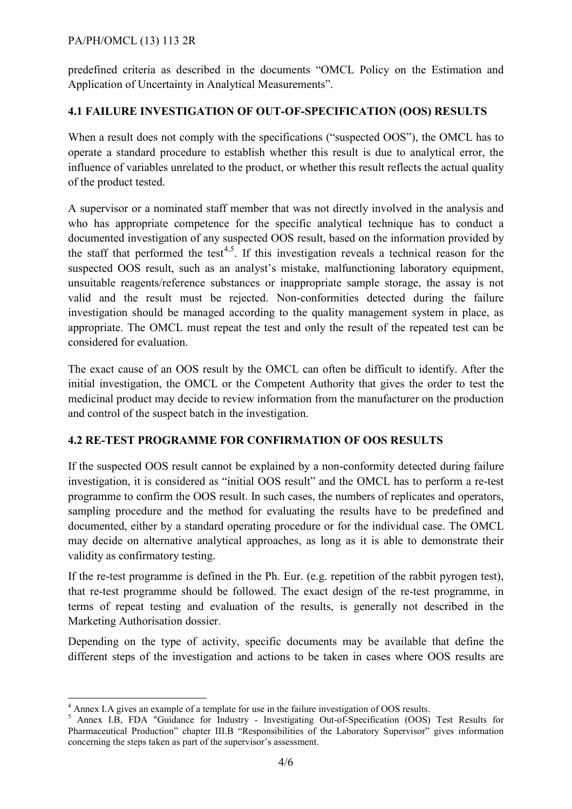#### PA/PH/OMCL (13) 113 2R

predefined criteria as described in the documents "OMCL Policy on the Estimation and Application of Uncertainty in Analytical Measurements".

#### **4.1 FAILURE INVESTIGATION OF OUT-OF-SPECIFICATION (OOS) RESULTS**

When a result does not comply with the specifications ("suspected OOS"), the OMCL has to operate a standard procedure to establish whether this result is due to analytical error, the influence of variables unrelated to the product, or whether this result reflects the actual quality of the product tested.

A supervisor or a nominated staff member that was not directly involved in the analysis and who has appropriate competence for the specific analytical technique has to conduct a documented investigation of any suspected OOS result, based on the information provided by the staff that performed the test<sup>[4](#page-3-0),[5](#page-3-1)</sup>. If this investigation reveals a technical reason for the suspected OOS result, such as an analyst's mistake, malfunctioning laboratory equipment, unsuitable reagents/reference substances or inappropriate sample storage, the assay is not valid and the result must be rejected. Non-conformities detected during the failure investigation should be managed according to the quality management system in place, as appropriate. The OMCL must repeat the test and only the result of the repeated test can be considered for evaluation.

The exact cause of an OOS result by the OMCL can often be difficult to identify. After the initial investigation, the OMCL or the Competent Authority that gives the order to test the medicinal product may decide to review information from the manufacturer on the production and control of the suspect batch in the investigation.

#### **4.2 RE-TEST PROGRAMME FOR CONFIRMATION OF OOS RESULTS**

If the suspected OOS result cannot be explained by a non-conformity detected during failure investigation, it is considered as "initial OOS result" and the OMCL has to perform a re-test programme to confirm the OOS result. In such cases, the numbers of replicates and operators, sampling procedure and the method for evaluating the results have to be predefined and documented, either by a standard operating procedure or for the individual case. The OMCL may decide on alternative analytical approaches, as long as it is able to demonstrate their validity as confirmatory testing.

If the re-test programme is defined in the Ph. Eur. (e.g. repetition of the rabbit pyrogen test), that re-test programme should be followed. The exact design of the re-test programme, in terms of repeat testing and evaluation of the results, is generally not described in the Marketing Authorisation dossier.

Depending on the type of activity, specific documents may be available that define the different steps of the investigation and actions to be taken in cases where OOS results are

<span id="page-3-0"></span> <sup>4</sup> Annex I.A gives an example of a template for use in the failure investigation of OOS results.

<span id="page-3-1"></span><sup>5</sup> Annex I.B, FDA "Guidance for Industry - Investigating Out-of-Specification (OOS) Test Results for Pharmaceutical Production" chapter III.B "Responsibilities of the Laboratory Supervisor" gives information concerning the steps taken as part of the supervisor's assessment.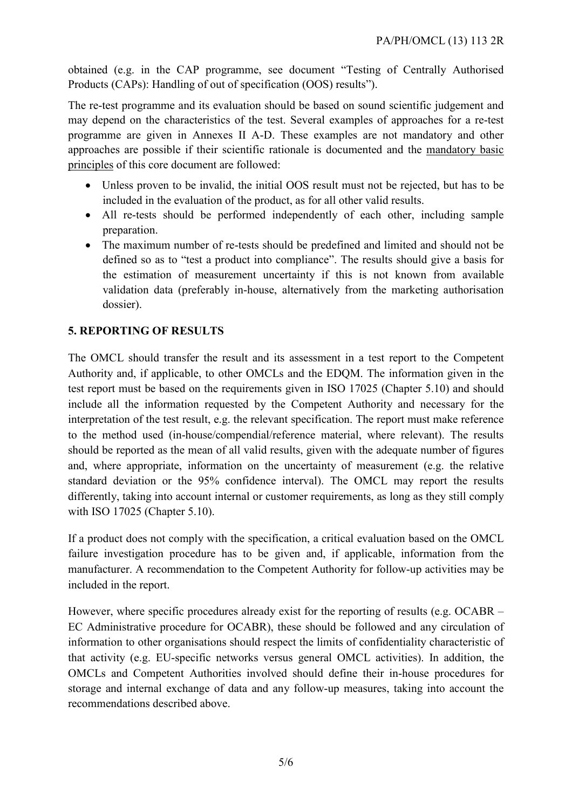obtained (e.g. in the CAP programme, see document "Testing of Centrally Authorised Products (CAPs): Handling of out of specification (OOS) results").

The re-test programme and its evaluation should be based on sound scientific judgement and may depend on the characteristics of the test. Several examples of approaches for a re-test programme are given in Annexes II A-D. These examples are not mandatory and other approaches are possible if their scientific rationale is documented and the mandatory basic principles of this core document are followed:

- Unless proven to be invalid, the initial OOS result must not be rejected, but has to be included in the evaluation of the product, as for all other valid results.
- All re-tests should be performed independently of each other, including sample preparation.
- The maximum number of re-tests should be predefined and limited and should not be defined so as to "test a product into compliance". The results should give a basis for the estimation of measurement uncertainty if this is not known from available validation data (preferably in-house, alternatively from the marketing authorisation dossier).

#### **5. REPORTING OF RESULTS**

The OMCL should transfer the result and its assessment in a test report to the Competent Authority and, if applicable, to other OMCLs and the EDQM. The information given in the test report must be based on the requirements given in ISO 17025 (Chapter 5.10) and should include all the information requested by the Competent Authority and necessary for the interpretation of the test result, e.g. the relevant specification. The report must make reference to the method used (in-house/compendial/reference material, where relevant). The results should be reported as the mean of all valid results, given with the adequate number of figures and, where appropriate, information on the uncertainty of measurement (e.g. the relative standard deviation or the 95% confidence interval). The OMCL may report the results differently, taking into account internal or customer requirements, as long as they still comply with ISO 17025 (Chapter 5.10).

If a product does not comply with the specification, a critical evaluation based on the OMCL failure investigation procedure has to be given and, if applicable, information from the manufacturer. A recommendation to the Competent Authority for follow-up activities may be included in the report.

However, where specific procedures already exist for the reporting of results (e.g. OCABR – EC Administrative procedure for OCABR), these should be followed and any circulation of information to other organisations should respect the limits of confidentiality characteristic of that activity (e.g. EU-specific networks versus general OMCL activities). In addition, the OMCLs and Competent Authorities involved should define their in-house procedures for storage and internal exchange of data and any follow-up measures, taking into account the recommendations described above.